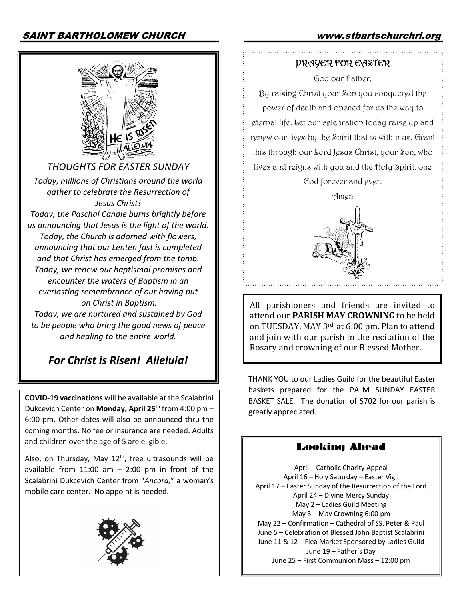

*THOUGHTS FOR EASTER SUNDAY*

*Today, millions of Christians around the world gather to celebrate the Resurrection of Jesus Christ!*

*Today, the Paschal Candle burns brightly before us announcing that Jesus is the light of the world. Today, the Church is adorned with flowers, announcing that our Lenten fast is completed and that Christ has emerged from the tomb. Today, we renew our baptismal promises and encounter the waters of Baptism in an everlasting remembrance of our having put on Christ in Baptism. Today, we are nurtured and sustained by God* 

*to be people who bring the good news of peace and healing to the entire world.*

# *For Christ is Risen! Alleluia!*

**COVID-19 vaccinations** will be available at the Scalabrini Dukcevich Center on **Monday, April 25th** from 4:00 pm – 6:00 pm. Other dates will also be announced thru the coming months. No fee or insurance are needed. Adults and children over the age of 5 are eligible.

Also, on Thursday, May  $12<sup>th</sup>$ , free ultrasounds will be available from  $11:00$  am  $-$  2:00 pm in front of the Scalabrini Dukcevich Center from "*Ancora,*" a woman's mobile care center. No appoint is needed.



### PRAYER FOR EASTER

God our Father,

By raising Christ your Son you conquered the power of death and opened for us the way to eternal life. Let our celebration today raise up and renew our lives by the Spirit that is within us. Grant this through our Lord Jesus Christ, your Son, who lives and reigns with you and the Holy Spirit, one God forever and ever.

Amen



All parishioners and friends are invited to attend our **PARISH MAY CROWNING** to be held on TUESDAY, MAY 3<sup>rd</sup> at 6:00 pm. Plan to attend and join with our parish in the recitation of the Rosary and crowning of our Blessed Mother.

THANK YOU to our Ladies Guild for the beautiful Easter baskets prepared for the PALM SUNDAY EASTER BASKET SALE. The donation of \$702 for our parish is greatly appreciated.

# Looking Ahead

April – Catholic Charity Appeal April 16 – Holy Saturday – Easter Vigil April 17 – Easter Sunday of the Resurrection of the Lord April 24 – Divine Mercy Sunday May 2 – Ladies Guild Meeting May 3 – May Crowning 6:00 pm May 22 – Confirmation – Cathedral of SS. Peter & Paul June 5 – Celebration of Blessed John Baptist Scalabrini June 11 & 12 – Flea Market Sponsored by Ladies Guild June 19 – Father's Day June 25 – First Communion Mass – 12:00 pm